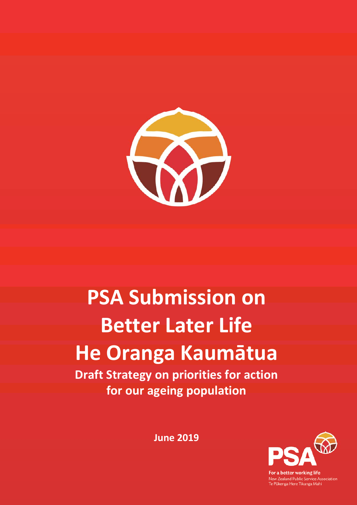

# **PSA Submission on Better Later Life He Oranga Kaumātua**

**Draft Strategy on priorities for action for our ageing population** 

**June 2019** 



or a better working life .<br>New Zealand Public Service Association<br>Te Pūkenga Here Tikanga Mahi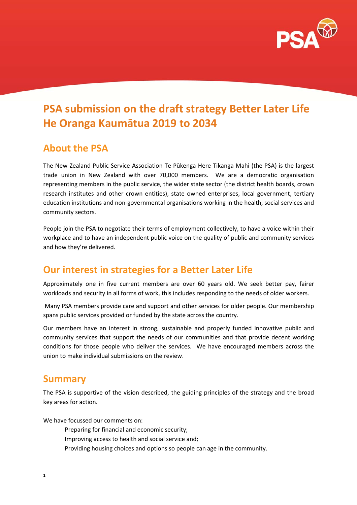

## **PSA submission on the draft strategy Better Later Life He Oranga Kaumātua 2019 to 2034**

## **About the PSA**

The New Zealand Public Service Association Te Pūkenga Here Tikanga Mahi (the PSA) is the largest trade union in New Zealand with over 70,000 members. We are a democratic organisation representing members in the public service, the wider state sector (the district health boards, crown research institutes and other crown entities), state owned enterprises, local government, tertiary education institutions and non-governmental organisations working in the health, social services and community sectors.

People join the PSA to negotiate their terms of employment collectively, to have a voice within their workplace and to have an independent public voice on the quality of public and community services and how they're delivered.

## **Our interest in strategies for a Better Later Life**

Approximately one in five current members are over 60 years old. We seek better pay, fairer workloads and security in all forms of work, this includes responding to the needs of older workers.

 Many PSA members provide care and support and other services for older people. Our membership spans public services provided or funded by the state across the country.

Our members have an interest in strong, sustainable and properly funded innovative public and community services that support the needs of our communities and that provide decent working conditions for those people who deliver the services. We have encouraged members across the union to make individual submissions on the review.

### **Summary**

The PSA is supportive of the vision described, the guiding principles of the strategy and the broad key areas for action.

We have focussed our comments on:

- Preparing for financial and economic security;
- Improving access to health and social service and;
- Providing housing choices and options so people can age in the community.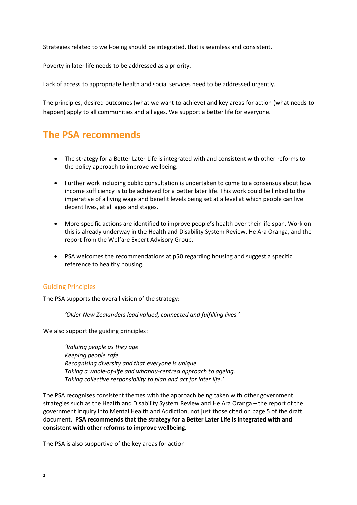Strategies related to well-being should be integrated, that is seamless and consistent.

Poverty in later life needs to be addressed as a priority.

Lack of access to appropriate health and social services need to be addressed urgently.

The principles, desired outcomes (what we want to achieve) and key areas for action (what needs to happen) apply to all communities and all ages. We support a better life for everyone.

## **The PSA recommends**

- The strategy for a Better Later Life is integrated with and consistent with other reforms to the policy approach to improve wellbeing.
- Further work including public consultation is undertaken to come to a consensus about how income sufficiency is to be achieved for a better later life. This work could be linked to the imperative of a living wage and benefit levels being set at a level at which people can live decent lives, at all ages and stages.
- More specific actions are identified to improve people's health over their life span. Work on this is already underway in the Health and Disability System Review, He Ara Oranga, and the report from the Welfare Expert Advisory Group.
- PSA welcomes the recommendations at p50 regarding housing and suggest a specific reference to healthy housing.

#### Guiding Principles

The PSA supports the overall vision of the strategy:

*'Older New Zealanders lead valued, connected and fulfilling lives.'* 

We also support the guiding principles:

*'Valuing people as they age Keeping people safe Recognising diversity and that everyone is unique Taking a whole-of-life and whanau-centred approach to ageing. Taking collective responsibility to plan and act for later life.'* 

The PSA recognises consistent themes with the approach being taken with other government strategies such as the Health and Disability System Review and He Ara Oranga – the report of the government inquiry into Mental Health and Addiction, not just those cited on page 5 of the draft document. **PSA recommends that the strategy for a Better Later Life is integrated with and consistent with other reforms to improve wellbeing.** 

The PSA is also supportive of the key areas for action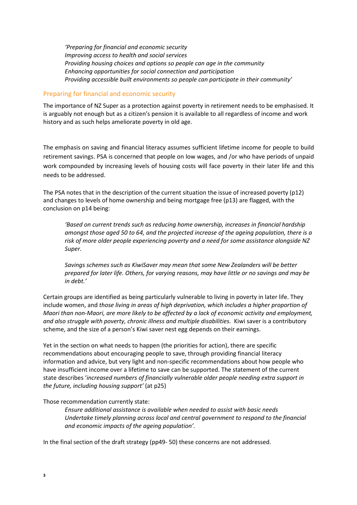*'Preparing for financial and economic security Improving access to health and social services Providing housing choices and options so people can age in the community Enhancing opportunities for social connection and participation Providing accessible built environments so people can participate in their community'* 

#### Preparing for financial and economic security

The importance of NZ Super as a protection against poverty in retirement needs to be emphasised. It is arguably not enough but as a citizen's pension it is available to all regardless of income and work history and as such helps ameliorate poverty in old age.

The emphasis on saving and financial literacy assumes sufficient lifetime income for people to build retirement savings. PSA is concerned that people on low wages, and /or who have periods of unpaid work compounded by increasing levels of housing costs will face poverty in their later life and this needs to be addressed.

The PSA notes that in the description of the current situation the issue of increased poverty (p12) and changes to levels of home ownership and being mortgage free (p13) are flagged, with the conclusion on p14 being:

*'Based on current trends such as reducing home ownership, increases in financial hardship amongst those aged 50 to 64, and the projected increase of the ageing population, there is a risk of more older people experiencing poverty and a need for some assistance alongside NZ Super.* 

*Savings schemes such as KiwiSaver may mean that some New Zealanders will be better prepared for later life. Others, for varying reasons, may have little or no savings and may be in debt.'* 

Certain groups are identified as being particularly vulnerable to living in poverty in later life. They include women, and *those living in areas of high deprivation, which includes a higher proportion of Maori than non-Maori, are more likely to be affected by a lack of economic activity and employment, and also struggle with poverty, chronic illness and multiple disabilities.* Kiwi saver is a contributory scheme, and the size of a person's Kiwi saver nest egg depends on their earnings.

Yet in the section on what needs to happen (the priorities for action), there are specific recommendations about encouraging people to save, through providing financial literacy information and advice, but very light and non-specific recommendations about how people who have insufficient income over a lifetime to save can be supported. The statement of the current state describes '*increased numbers of financially vulnerable older people needing extra support in the future, including housing support'* (at p25)

#### Those recommendation currently state:

*Ensure additional assistance is available when needed to assist with basic needs Undertake timely planning across local and central government to respond to the financial and economic impacts of the ageing population'.* 

In the final section of the draft strategy (pp49- 50) these concerns are not addressed.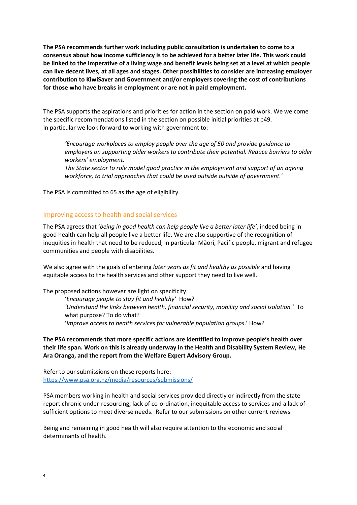**The PSA recommends further work including public consultation is undertaken to come to a consensus about how income sufficiency is to be achieved for a better later life. This work could be linked to the imperative of a living wage and benefit levels being set at a level at which people can live decent lives, at all ages and stages. Other possibilities to consider are increasing employer contribution to KiwiSaver and Government and/or employers covering the cost of contributions for those who have breaks in employment or are not in paid employment.** 

The PSA supports the aspirations and priorities for action in the section on paid work. We welcome the specific recommendations listed in the section on possible initial priorities at p49. In particular we look forward to working with government to:

*'Encourage workplaces to employ people over the age of 50 and provide guidance to employers on supporting older workers to contribute their potential. Reduce barriers to older workers' employment.* 

*The State sector to role model good practice in the employment and support of an ageing workforce, to trial approaches that could be used outside outside of government.'* 

The PSA is committed to 65 as the age of eligibility.

#### Improving access to health and social services

The PSA agrees that '*being in good health can help people live a better later life'*, indeed being in good health can help all people live a better life. We are also supportive of the recognition of inequities in health that need to be reduced, in particular Māori, Pacific people, migrant and refugee communities and people with disabilities.

We also agree with the goals of entering *later years as fit and healthy as possible* and having equitable access to the health services and other support they need to live well.

The proposed actions however are light on specificity.

 '*Encourage people to stay fit and healthy'* How? *'Understand the links between health, financial security, mobility and social isolation.'* To what purpose? To do what? '*Improve access to health services for vulnerable population groups*.' How?

**The PSA recommends that more specific actions are identified to improve people's health over their life span. Work on this is already underway in the Health and Disability System Review, He Ara Oranga, and the report from the Welfare Expert Advisory Group.** 

Refer to our submissions on these reports here: https://www.psa.org.nz/media/resources/submissions/

PSA members working in health and social services provided directly or indirectly from the state report chronic under-resourcing, lack of co-ordination, inequitable access to services and a lack of sufficient options to meet diverse needs. Refer to our submissions on other current reviews.

Being and remaining in good health will also require attention to the economic and social determinants of health.